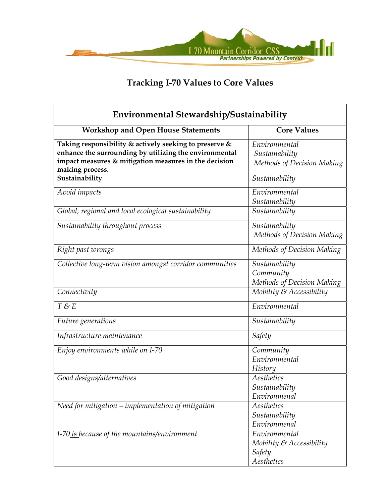

| Environmental Stewardship/Sustainability                                                                         |                                                                      |
|------------------------------------------------------------------------------------------------------------------|----------------------------------------------------------------------|
| <b>Workshop and Open House Statements</b>                                                                        | <b>Core Values</b>                                                   |
| Taking responsibility & actively seeking to preserve &<br>enhance the surrounding by utilizing the environmental | Environmental                                                        |
| impact measures & mitigation measures in the decision<br>making process.                                         | Sustainability<br>Methods of Decision Making                         |
| Sustainability                                                                                                   | Sustainability                                                       |
| Avoid impacts                                                                                                    | Environmental<br>Sustainability                                      |
| Global, regional and local ecological sustainability                                                             | Sustainability                                                       |
| Sustainability throughout process                                                                                | Sustainability<br>Methods of Decision Making                         |
| Right past wrongs                                                                                                | Methods of Decision Making                                           |
| Collective long-term vision amongst corridor communities                                                         | Sustainability<br>Community<br>Methods of Decision Making            |
| Connectivity                                                                                                     | Mobility & Accessibility                                             |
| T & E                                                                                                            | Environmental                                                        |
| Future generations                                                                                               | Sustainability                                                       |
| Infrastructure maintenance                                                                                       | Safety                                                               |
| Enjoy environments while on I-70                                                                                 | Community<br>Environmental<br>History                                |
| Good designs/alternatives                                                                                        | Aesthetics<br>Sustainability<br>Environmenal                         |
| Need for mitigation - implementation of mitigation                                                               | Aesthetics<br>Sustainability<br>Environmenal                         |
| I-70 is because of the mountains/environment                                                                     | Environmental<br>Mobility $\&$ Accessibility<br>Safety<br>Aesthetics |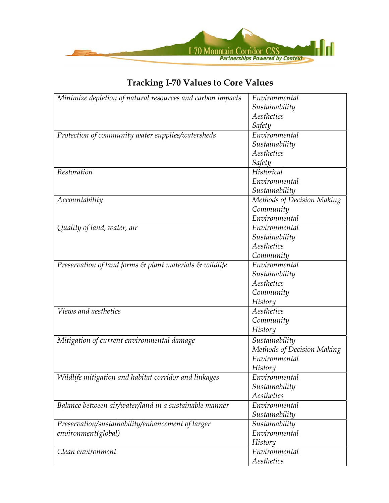

| Minimize depletion of natural resources and carbon impacts                      | Environmental              |
|---------------------------------------------------------------------------------|----------------------------|
|                                                                                 | Sustainability             |
|                                                                                 | Aesthetics                 |
|                                                                                 | Safety                     |
| Protection of community water supplies/watersheds                               | Environmental              |
|                                                                                 | Sustainability             |
|                                                                                 | Aesthetics                 |
|                                                                                 | Safety                     |
| Restoration                                                                     | Historical                 |
|                                                                                 | Environmental              |
|                                                                                 | Sustainability             |
| Accountability                                                                  | Methods of Decision Making |
|                                                                                 | Community                  |
|                                                                                 | Environmental              |
| Quality of land, water, air                                                     | Environmental              |
|                                                                                 | Sustainability             |
|                                                                                 | Aesthetics                 |
|                                                                                 | Community                  |
| Preservation of land forms $\varepsilon$ plant materials $\varepsilon$ wildlife | Environmental              |
|                                                                                 | Sustainability             |
|                                                                                 | Aesthetics                 |
|                                                                                 | Community                  |
|                                                                                 | History                    |
| Views and aesthetics                                                            | Aesthetics                 |
|                                                                                 | Community                  |
|                                                                                 | History                    |
| Mitigation of current environmental damage                                      | Sustainability             |
|                                                                                 | Methods of Decision Making |
|                                                                                 | Environmental              |
|                                                                                 | History                    |
| Wildlife mitigation and habitat corridor and linkages                           | Environmental              |
|                                                                                 | Sustainability             |
|                                                                                 | Aesthetics                 |
| Balance between air/water/land in a sustainable manner                          | Environmental              |
|                                                                                 | Sustainability             |
| Preservation/sustainability/enhancement of larger                               | Sustainability             |
| environment(global)                                                             | Environmental              |
|                                                                                 | History                    |
| Clean environment                                                               | Environmental              |
|                                                                                 | Aesthetics                 |
|                                                                                 |                            |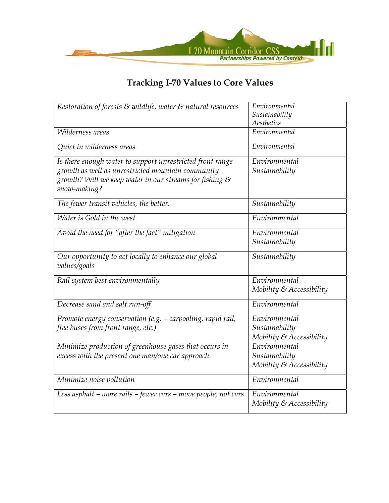

| Restoration of forests $\varepsilon$ wildlife, water $\varepsilon$ natural resources                                                                                                      | Environmental<br>Sustainability<br>Aesthetics                  |
|-------------------------------------------------------------------------------------------------------------------------------------------------------------------------------------------|----------------------------------------------------------------|
| Wilderness areas                                                                                                                                                                          | $\overline{Environmental}$                                     |
| Quiet in wilderness areas                                                                                                                                                                 | Environmental                                                  |
| Is there enough water to support unrestricted front range<br>growth as well as unrestricted mountain community<br>growth? Will we keep water in our streams for fishing &<br>snow-making? | Environmental<br>Sustainability                                |
| The fewer transit vehicles, the better.                                                                                                                                                   | Sustainability                                                 |
| Water is Gold in the west                                                                                                                                                                 | Environmental                                                  |
| Avoid the need for "after the fact" mitigation                                                                                                                                            | Environmental<br>Sustainability                                |
| Our opportunity to act locally to enhance our global<br>values/goals                                                                                                                      | Sustainability                                                 |
| Rail system best environmentally                                                                                                                                                          | Environmental<br>Mobility & Accessibility                      |
| Decrease sand and salt run-off                                                                                                                                                            | Environmental                                                  |
| Promote energy conservation (e.g. - carpooling, rapid rail,<br>free buses from front range, etc.)                                                                                         | Environmental<br>Sustainability<br>Mobility & Accessibility    |
| Minimize production of greenhouse gases that occurs in<br>excess with the present one man/one car approach                                                                                | Environmental<br>Sustainability<br>Mobility $\&$ Accessibility |
| Minimize noise pollution                                                                                                                                                                  | Environmental                                                  |
| Less asphalt - more rails - fewer cars - move people, not cars                                                                                                                            | Environmental<br>Mobility $\&$ Accessibility                   |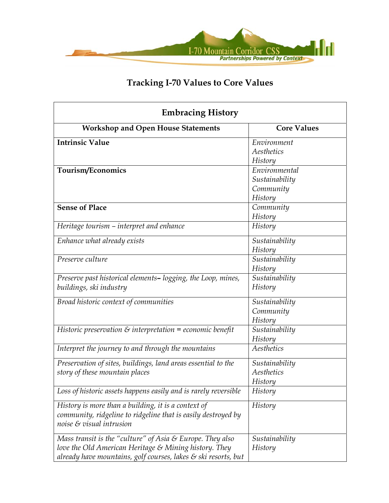

| <b>Embracing History</b>                                              |                    |
|-----------------------------------------------------------------------|--------------------|
| <b>Workshop and Open House Statements</b>                             | <b>Core Values</b> |
| <b>Intrinsic Value</b>                                                | Environment        |
|                                                                       | Aesthetics         |
|                                                                       | History            |
| Tourism/Economics                                                     | Environmental      |
|                                                                       | Sustainability     |
|                                                                       | Community          |
|                                                                       | History            |
| <b>Sense of Place</b>                                                 | Community          |
|                                                                       | History            |
| Heritage tourism - interpret and enhance                              | History            |
| Enhance what already exists                                           | Sustainability     |
|                                                                       | History            |
| Preserve culture                                                      | Sustainability     |
|                                                                       | History            |
| Preserve past historical elements-logging, the Loop, mines,           | Sustainability     |
| buildings, ski industry                                               | History            |
| Broad historic context of communities                                 | Sustainability     |
|                                                                       | Community          |
|                                                                       | History            |
| Historic preservation $\varepsilon$ interpretation = economic benefit | Sustainability     |
|                                                                       | History            |
| Interpret the journey to and through the mountains                    | Aesthetics         |
| Preservation of sites, buildings, land areas essential to the         | Sustainability     |
| story of these mountain places                                        | Aesthetics         |
|                                                                       | History            |
| Loss of historic assets happens easily and is rarely reversible       | History            |
| History is more than a building, it is a context of                   | History            |
| community, ridgeline to ridgeline that is easily destroyed by         |                    |
| noise & visual intrusion                                              |                    |
| Mass transit is the "culture" of Asia $\mathcal E$ Europe. They also  | Sustainability     |
| love the Old American Heritage & Mining history. They                 | History            |
| already have mountains, golf courses, lakes & ski resorts, but        |                    |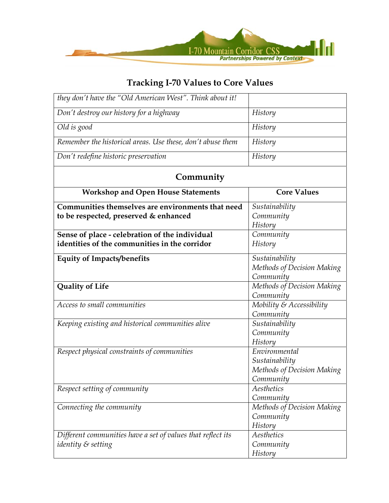

| they don't have the "Old American West". Think about it!                                        |                                                                            |
|-------------------------------------------------------------------------------------------------|----------------------------------------------------------------------------|
| Don't destroy our history for a highway                                                         | History                                                                    |
| Old is good                                                                                     | History                                                                    |
| Remember the historical areas. Use these, don't abuse them                                      | History                                                                    |
| Don't redefine historic preservation                                                            | History                                                                    |
| Community                                                                                       |                                                                            |
| <b>Workshop and Open House Statements</b>                                                       | <b>Core Values</b>                                                         |
| Communities themselves are environments that need<br>to be respected, preserved & enhanced      | Sustainability<br>Community<br>History                                     |
| Sense of place - celebration of the individual<br>identities of the communities in the corridor | Community<br>History                                                       |
| <b>Equity of Impacts/benefits</b>                                                               | Sustainability<br>Methods of Decision Making<br>Community                  |
| <b>Quality of Life</b>                                                                          | Methods of Decision Making<br>Community                                    |
| Access to small communities                                                                     | Mobility & Accessibility<br>Community                                      |
| Keeping existing and historical communities alive                                               | Sustainability<br>Community<br>History                                     |
| Respect physical constraints of communities                                                     | Environmental<br>Sustainability<br>Methods of Decision Making<br>Community |
| Respect setting of community                                                                    | Aesthetics<br>Community                                                    |
| Connecting the community                                                                        | Methods of Decision Making<br>Community<br>History                         |
| Different communities have a set of values that reflect its<br>identity & setting               | Aesthetics<br>Community<br>History                                         |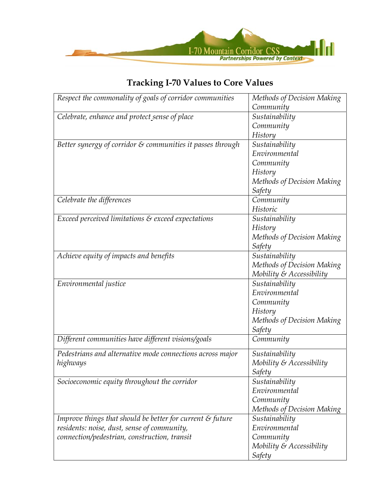

| Respect the commonality of goals of corridor communities              | Methods of Decision Making  |
|-----------------------------------------------------------------------|-----------------------------|
|                                                                       | Community                   |
| Celebrate, enhance and protect sense of place                         | Sustainability              |
|                                                                       | Community                   |
|                                                                       | History                     |
| Better synergy of corridor & communities it passes through            | Sustainability              |
|                                                                       | Environmental               |
|                                                                       | Community                   |
|                                                                       | History                     |
|                                                                       | Methods of Decision Making  |
|                                                                       | Safety                      |
| Celebrate the differences                                             | Community                   |
|                                                                       | Historic                    |
| Exceed perceived limitations & exceed expectations                    | Sustainability              |
|                                                                       | History                     |
|                                                                       | Methods of Decision Making  |
|                                                                       | Safety                      |
| Achieve equity of impacts and benefits                                | Sustainability              |
|                                                                       | Methods of Decision Making  |
|                                                                       | Mobility $\&$ Accessibility |
| Environmental justice                                                 | Sustainability              |
|                                                                       | Environmental               |
|                                                                       | Community                   |
|                                                                       | History                     |
|                                                                       | Methods of Decision Making  |
|                                                                       | Safety                      |
| Different communities have different visions/goals                    | Community                   |
| Pedestrians and alternative mode connections across major             | Sustainability              |
| highways                                                              | Mobility $\&$ Accessibility |
|                                                                       | Safety                      |
| Socioeconomic equity throughout the corridor                          | Sustainability              |
|                                                                       | Environmental               |
|                                                                       | Community                   |
|                                                                       | Methods of Decision Making  |
| Improve things that should be better for current $\varepsilon$ future | Sustainability              |
| residents: noise, dust, sense of community,                           | Environmental               |
| connection/pedestrian, construction, transit                          | Community                   |
|                                                                       | Mobility $\&$ Accessibility |
|                                                                       | <b>Safety</b>               |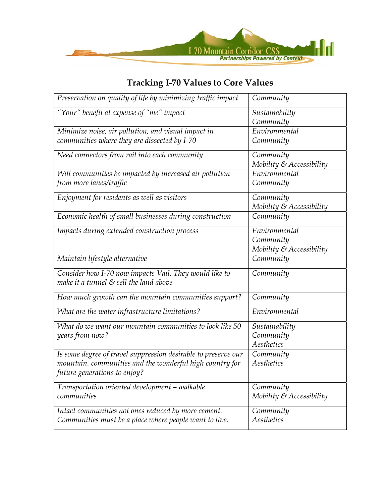

| "Your" benefit at expense of "me" impact<br>Sustainability<br>Community<br>Environmental<br>Minimize noise, air pollution, and visual impact in<br>communities where they are dissected by I-70<br>Community<br>Need connectors from rail into each community<br>Community<br>Mobility $\&$ Accessibility<br>Environmental<br>Will communities be impacted by increased air pollution<br>from more lanes/traffic<br>Community<br>Enjoyment for residents as well as visitors<br>Community<br>Mobility $\&$ Accessibility<br>Economic health of small businesses during construction<br>Community<br>Environmental<br>Impacts during extended construction process<br>Community<br>Mobility & Accessibility |
|------------------------------------------------------------------------------------------------------------------------------------------------------------------------------------------------------------------------------------------------------------------------------------------------------------------------------------------------------------------------------------------------------------------------------------------------------------------------------------------------------------------------------------------------------------------------------------------------------------------------------------------------------------------------------------------------------------|
|                                                                                                                                                                                                                                                                                                                                                                                                                                                                                                                                                                                                                                                                                                            |
|                                                                                                                                                                                                                                                                                                                                                                                                                                                                                                                                                                                                                                                                                                            |
|                                                                                                                                                                                                                                                                                                                                                                                                                                                                                                                                                                                                                                                                                                            |
|                                                                                                                                                                                                                                                                                                                                                                                                                                                                                                                                                                                                                                                                                                            |
|                                                                                                                                                                                                                                                                                                                                                                                                                                                                                                                                                                                                                                                                                                            |
|                                                                                                                                                                                                                                                                                                                                                                                                                                                                                                                                                                                                                                                                                                            |
|                                                                                                                                                                                                                                                                                                                                                                                                                                                                                                                                                                                                                                                                                                            |
|                                                                                                                                                                                                                                                                                                                                                                                                                                                                                                                                                                                                                                                                                                            |
|                                                                                                                                                                                                                                                                                                                                                                                                                                                                                                                                                                                                                                                                                                            |
|                                                                                                                                                                                                                                                                                                                                                                                                                                                                                                                                                                                                                                                                                                            |
|                                                                                                                                                                                                                                                                                                                                                                                                                                                                                                                                                                                                                                                                                                            |
|                                                                                                                                                                                                                                                                                                                                                                                                                                                                                                                                                                                                                                                                                                            |
|                                                                                                                                                                                                                                                                                                                                                                                                                                                                                                                                                                                                                                                                                                            |
|                                                                                                                                                                                                                                                                                                                                                                                                                                                                                                                                                                                                                                                                                                            |
| Maintain lifestyle alternative<br>Community                                                                                                                                                                                                                                                                                                                                                                                                                                                                                                                                                                                                                                                                |
| Consider how I-70 now impacts Vail. They would like to<br>Community<br>make it a tunnel $\varepsilon$ sell the land above                                                                                                                                                                                                                                                                                                                                                                                                                                                                                                                                                                                  |
| How much growth can the mountain communities support?<br>Community                                                                                                                                                                                                                                                                                                                                                                                                                                                                                                                                                                                                                                         |
| Environmental<br>What are the water infrastructure limitations?                                                                                                                                                                                                                                                                                                                                                                                                                                                                                                                                                                                                                                            |
| What do we want our mountain communities to look like 50<br>Sustainability                                                                                                                                                                                                                                                                                                                                                                                                                                                                                                                                                                                                                                 |
| years from now?<br>Community                                                                                                                                                                                                                                                                                                                                                                                                                                                                                                                                                                                                                                                                               |
| Aesthetics                                                                                                                                                                                                                                                                                                                                                                                                                                                                                                                                                                                                                                                                                                 |
| Is some degree of travel suppression desirable to preserve our<br>Community                                                                                                                                                                                                                                                                                                                                                                                                                                                                                                                                                                                                                                |
| mountain. communities and the wonderful high country for<br>Aesthetics                                                                                                                                                                                                                                                                                                                                                                                                                                                                                                                                                                                                                                     |
| future generations to enjoy?                                                                                                                                                                                                                                                                                                                                                                                                                                                                                                                                                                                                                                                                               |
| Transportation oriented development - walkable<br>Community                                                                                                                                                                                                                                                                                                                                                                                                                                                                                                                                                                                                                                                |
| communities<br>Mobility $\&$ Accessibility                                                                                                                                                                                                                                                                                                                                                                                                                                                                                                                                                                                                                                                                 |
| Intact communities not ones reduced by more cement.<br>Community                                                                                                                                                                                                                                                                                                                                                                                                                                                                                                                                                                                                                                           |
| Aesthetics<br>Communities must be a place where people want to live.                                                                                                                                                                                                                                                                                                                                                                                                                                                                                                                                                                                                                                       |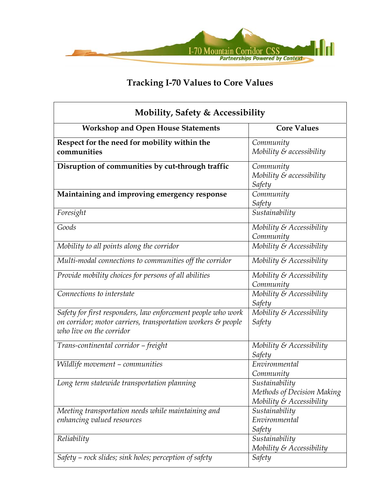

| <b>Mobility, Safety &amp; Accessibility</b>                                                                                                              |                                                                             |
|----------------------------------------------------------------------------------------------------------------------------------------------------------|-----------------------------------------------------------------------------|
| <b>Workshop and Open House Statements</b>                                                                                                                | <b>Core Values</b>                                                          |
| Respect for the need for mobility within the<br>communities                                                                                              | Community<br>Mobility & accessibility                                       |
| Disruption of communities by cut-through traffic                                                                                                         | Community<br>Mobility $\varepsilon$ accessibility<br>Safety                 |
| Maintaining and improving emergency response                                                                                                             | Community<br>Safety                                                         |
| Foresight                                                                                                                                                | Sustainability                                                              |
| Goods                                                                                                                                                    | Mobility $\&$ Accessibility<br>Community                                    |
| Mobility to all points along the corridor                                                                                                                | Mobility & Accessibility                                                    |
| Multi-modal connections to communities off the corridor                                                                                                  | Mobility & Accessibility                                                    |
| Provide mobility choices for persons of all abilities                                                                                                    | Mobility & Accessibility<br>Community                                       |
| Connections to interstate                                                                                                                                | Mobility & Accessibility<br>Safety                                          |
| Safety for first responders, law enforcement people who work<br>on corridor; motor carriers, transportation workers & people<br>who live on the corridor | Mobility & Accessibility<br>Safety                                          |
| Trans-continental corridor - freight                                                                                                                     | Mobility $\&$ Accessibility<br>Safety                                       |
| Wildlife movement - communities                                                                                                                          | Environmental<br>Community                                                  |
| Long term statewide transportation planning                                                                                                              | Sustainability<br>Methods of Decision Making<br>Mobility $\&$ Accessibility |
| Meeting transportation needs while maintaining and<br>enhancing valued resources                                                                         | Sustainability<br>Environmental<br>Safety                                   |
| Reliability                                                                                                                                              | Sustainability<br>Mobility $\&$ Accessibility                               |
| Safety – rock slides; sink holes; perception of safety                                                                                                   | Safety                                                                      |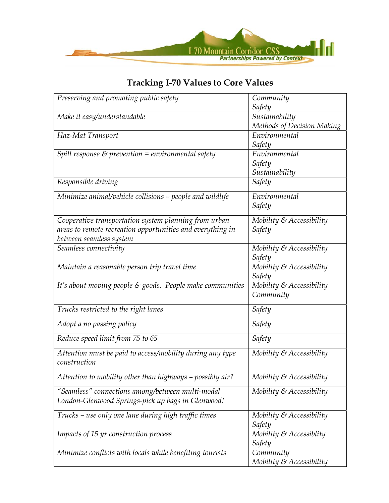

#### *Preserving and promoting public safety*  $\vert$  *Community Safety Make it easy/understandable*  $\vert$  *Sustainability Methods of Decision Making Haz-Mat Transport Environmental Safety Spill response & prevention* = environmental safety  $\vert$  Environmental *Safety Sustainability Responsible driving*  $\qquad \qquad \qquad$  Safety *Minimize animal/vehicle collisions – people and wildlife* | Environmental *Safety Cooperative transportation system planning from urban areas to remote recreation opportunities and everything in between seamless system Mobility & Accessibility Safety*  Seamless connectivity  $\vert$  Mobility & Accessibility *Safety Maintain a reasonable person trip travel time*  $\vert$  *Mobility & Accessibility Safety It's about moving people & goods. People make communities Mobility & Accessibility Community Trucks restricted to the right lanes*  $\qquad \qquad \qquad$  Safety *Adopt a no passing policy*  $\qquad \qquad \text{Safety}$ *Reduce speed limit from 75 to 65* Safety **Safety** Safety *Attention must be paid to access/mobility during any type construction Mobility & Accessibility Attention to mobility other than highways – possibly air? Mobility & Accessibility "Seamless" connections among/between multi-modal London-Glenwood Springs-pick up bags in Glenwood! Mobility & Accessibility Trucks – use only one lane during high traffic times* | *Mobility & Accessibility Safety Impacts of 15 yr construction process* Mobility & Accessiblity and *Mobility & Accessiblity Safety Minimize conflicts with locals while benefiting tourists* | *Community Mobility & Accessibility*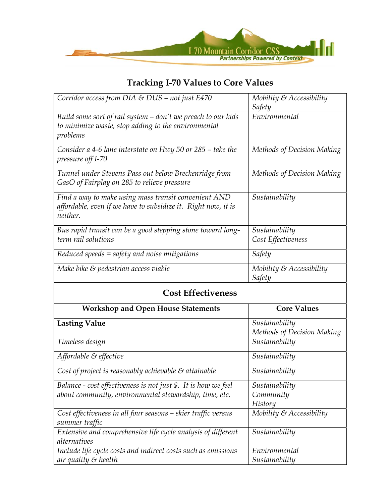

| Corridor access from DIA & DUS - not just E470                                                                                           | Mobility $\&$ Accessibility                  |
|------------------------------------------------------------------------------------------------------------------------------------------|----------------------------------------------|
|                                                                                                                                          | Safety                                       |
| Build some sort of rail system - don't we preach to our kids<br>to minimize waste, stop adding to the environmental<br>problems          | Environmental                                |
| Consider a 4-6 lane interstate on Hwy 50 or 285 – take the<br>pressure off I-70                                                          | Methods of Decision Making                   |
| Tunnel under Stevens Pass out below Breckenridge from<br>GasO of Fairplay on 285 to relieve pressure                                     | Methods of Decision Making                   |
| Find a way to make using mass transit convenient AND<br>affordable, even if we have to subsidize it. Right now, it is<br><i>neither.</i> | Sustainability                               |
| Bus rapid transit can be a good stepping stone toward long-<br>term rail solutions                                                       | Sustainability<br>Cost Effectiveness         |
| Reduced speeds $=$ safety and noise mitigations                                                                                          | Safety                                       |
| Make bike $\varepsilon$ pedestrian access viable                                                                                         | Mobility $\&$ Accessibility<br>Safety        |
| <b>Cost Effectiveness</b>                                                                                                                |                                              |
| <b>Workshop and Open House Statements</b>                                                                                                | <b>Core Values</b>                           |
| <b>Lasting Value</b>                                                                                                                     | Sustainability<br>Methods of Decision Making |
| Timeless design                                                                                                                          | Sustainability                               |

| Affordable & effective                                                          | Sustainability              |
|---------------------------------------------------------------------------------|-----------------------------|
| Cost of project is reasonably achievable $\mathcal S$ attainable                | Sustainability              |
| Balance - cost effectiveness is not just \$. It is how we feel                  | Sustainability              |
| about community, environmental stewardship, time, etc.                          | Community                   |
|                                                                                 | <b>History</b>              |
| Cost effectiveness in all four seasons - skier traffic versus<br>summer traffic | Mobility $\&$ Accessibility |
| Extensive and comprehensive life cycle analysis of different                    | Sustainability              |
| alternatives                                                                    |                             |
| Include life cycle costs and indirect costs such as emissions                   | Environmental               |
| air quality & health                                                            | Sustainability              |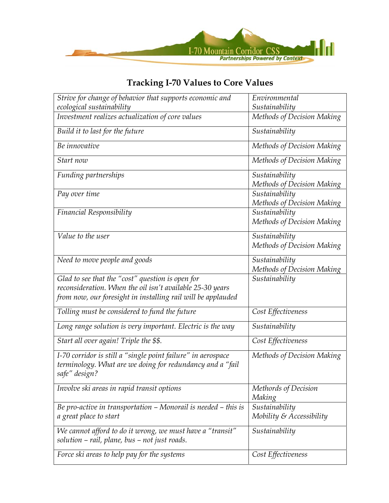

| Strive for change of behavior that supports economic and                                                                                                                      | Environmental                                |
|-------------------------------------------------------------------------------------------------------------------------------------------------------------------------------|----------------------------------------------|
| ecological sustainability                                                                                                                                                     | Sustainability                               |
| Investment realizes actualization of core values                                                                                                                              | Methods of Decision Making                   |
| Build it to last for the future                                                                                                                                               | Sustainability                               |
| Be innovative                                                                                                                                                                 | Methods of Decision Making                   |
| Start now                                                                                                                                                                     | Methods of Decision Making                   |
| Funding partnerships                                                                                                                                                          | Sustainability<br>Methods of Decision Making |
| Pay over time                                                                                                                                                                 | Sustainability<br>Methods of Decision Making |
| <b>Financial Responsibility</b>                                                                                                                                               | Sustainability<br>Methods of Decision Making |
| Value to the user                                                                                                                                                             | Sustainability<br>Methods of Decision Making |
| Need to move people and goods                                                                                                                                                 | Sustainability<br>Methods of Decision Making |
| Glad to see that the "cost" question is open for<br>reconsideration. When the oil isn't available 25-30 years<br>from now, our foresight in installing rail will be applauded | Sustainability                               |
| Tolling must be considered to fund the future                                                                                                                                 | Cost Effectiveness                           |
| Long range solution is very important. Electric is the way                                                                                                                    | Sustainability                               |
| Start all over again! Triple the \$\$.                                                                                                                                        | Cost Effectiveness                           |
| I-70 corridor is still a "single point failure" in aerospace<br>terminology. What are we doing for redundancy and a "fail<br>safe" design?                                    | Methods of Decision Making                   |
| Involve ski areas in rapid transit options                                                                                                                                    | Methords of Decision<br>Making               |
| Be pro-active in transportation $-$ Monorail is needed $-$ this is<br>a great place to start                                                                                  | Sustainability<br>Mobility & Accessibility   |
| We cannot afford to do it wrong, we must have a "transit"<br>solution - rail, plane, bus - not just roads.                                                                    | Sustainability                               |
| Force ski areas to help pay for the systems                                                                                                                                   | Cost Effectiveness                           |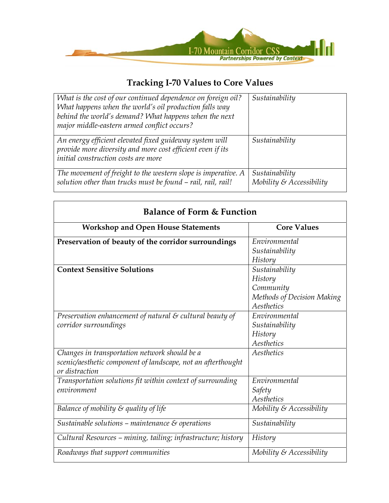

| What is the cost of our continued dependence on foreign oil?<br>What happens when the world's oil production falls way<br>behind the world's demand? What happens when the next<br>major middle-eastern armed conflict occurs? | Sustainability                                |
|--------------------------------------------------------------------------------------------------------------------------------------------------------------------------------------------------------------------------------|-----------------------------------------------|
| An energy efficient elevated fixed guideway system will<br>provide more diversity and more cost efficient even if its<br>initial construction costs are more                                                                   | Sustainability                                |
| The movement of freight to the western slope is imperative. A<br>solution other than trucks must be found - rail, rail, rail!                                                                                                  | Sustainability<br>Mobility $\&$ Accessibility |

| <b>Workshop and Open House Statements</b>                            | <b>Core Values</b>          |
|----------------------------------------------------------------------|-----------------------------|
| Preservation of beauty of the corridor surroundings                  | Environmental               |
|                                                                      | Sustainability              |
|                                                                      | History                     |
| <b>Context Sensitive Solutions</b>                                   | Sustainability              |
|                                                                      | History                     |
|                                                                      | Community                   |
|                                                                      | Methods of Decision Making  |
|                                                                      | Aesthetics                  |
| Preservation enhancement of natural $\varepsilon$ cultural beauty of | Environmental               |
| corridor surroundings                                                | Sustainability              |
|                                                                      | History                     |
|                                                                      | Aesthetics                  |
| Changes in transportation network should be a                        | Aesthetics                  |
| scenic/aesthetic component of landscape, not an afterthought         |                             |
| or distraction                                                       |                             |
| Transportation solutions fit within context of surrounding           | Environmental               |
| environment                                                          | Safety                      |
|                                                                      | Aesthetics                  |
| Balance of mobility $\varepsilon$ quality of life                    | Mobility $\&$ Accessibility |
| Sustainable solutions – maintenance $\mathcal S$ operations          | Sustainability              |
| Cultural Resources - mining, tailing; infrastructure; history        | History                     |
| Roadways that support communities                                    | Mobility $\&$ Accessibility |

### **Balance of Form & Function**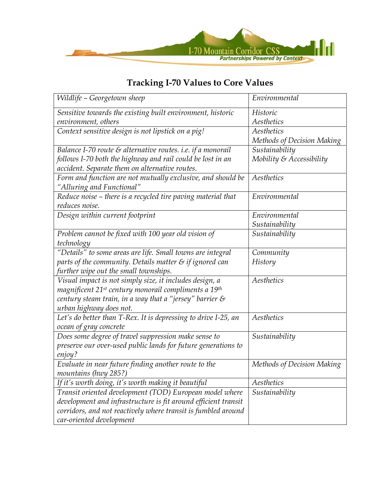

| Wildlife - Georgetown sheep                                                  | Environmental               |
|------------------------------------------------------------------------------|-----------------------------|
| Sensitive towards the existing built environment, historic                   | Historic                    |
| environment, others                                                          | Aesthetics                  |
| Context sensitive design is not lipstick on a pig!                           | Aesthetics                  |
|                                                                              | Methods of Decision Making  |
| Balance I-70 route $\varepsilon$ alternative routes. i.e. if a monorail      | Sustainability              |
| follows I-70 both the highway and rail could be lost in an                   | Mobility $\&$ Accessibility |
| accident. Separate them on alternative routes.                               |                             |
| Form and function are not mutually exclusive, and should be                  | Aesthetics                  |
| "Alluring and Functional"                                                    |                             |
| Reduce noise - there is a recycled tire paving material that                 | Environmental               |
| reduces noise.                                                               |                             |
| Design within current footprint                                              | Environmental               |
|                                                                              | Sustainability              |
| Problem cannot be fixed with 100 year old vision of                          | Sustainability              |
| technology                                                                   |                             |
| "Details" to some areas are life. Small towns are integral                   | Community                   |
| parts of the community. Details matter $\varepsilon$ if ignored can          | History                     |
| further wipe out the small townships.                                        |                             |
| Visual impact is not simply size, it includes design, a                      | Aesthetics                  |
| magnificent 21 <sup>st</sup> century monorail compliments a 19 <sup>th</sup> |                             |
| century steam train, in a way that a "jersey" barrier $\varepsilon$          |                             |
| urban highway does not.                                                      |                             |
| Let's do better than T-Rex. It is depressing to drive I-25, an               | Aesthetics                  |
| ocean of gray concrete                                                       |                             |
| Does some degree of travel suppression make sense to                         | Sustainability              |
| preserve our over-used public lands for future generations to                |                             |
| enjoy?                                                                       |                             |
| Evaluate in near future finding another route to the                         | Methods of Decision Making  |
| mountains (hwy 285?)                                                         |                             |
| If it's worth doing, it's worth making it beautiful                          | Aesthetics                  |
| Transit oriented development (TOD) European model where                      | Sustainability              |
| development and infrastructure is fit around efficient transit               |                             |
| corridors, and not reactively where transit is fumbled around                |                             |
| car-oriented development                                                     |                             |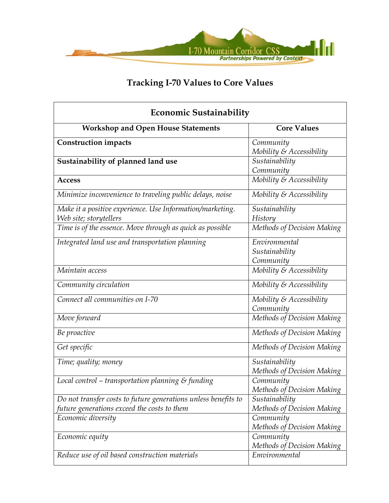

| <b>Economic Sustainability</b>                                                      |                                              |
|-------------------------------------------------------------------------------------|----------------------------------------------|
| <b>Workshop and Open House Statements</b>                                           | <b>Core Values</b>                           |
| <b>Construction impacts</b>                                                         | Community<br>Mobility & Accessibility        |
| Sustainability of planned land use                                                  | Sustainability<br>Community                  |
| <b>Access</b>                                                                       | Mobility & Accessibility                     |
| Minimize inconvenience to traveling public delays, noise                            | Mobility $\&$ Accessibility                  |
| Make it a positive experience. Use Information/marketing.<br>Web site; storytellers | Sustainability<br>History                    |
| Time is of the essence. Move through as quick as possible                           | Methods of Decision Making                   |
| Integrated land use and transportation planning                                     | Environmental<br>Sustainability<br>Community |
| Maintain access                                                                     | Mobility & Accessibility                     |
| Community circulation                                                               | Mobility & Accessibility                     |
| Connect all communities on I-70                                                     | Mobility & Accessibility<br>Community        |
| Move forward                                                                        | Methods of Decision Making                   |
| Be proactive                                                                        | Methods of Decision Making                   |
| Get specific                                                                        | Methods of Decision Making                   |
| Time; quality; money                                                                | Sustainability<br>Methods of Decision Making |
| Local control - transportation planning $\varepsilon$ funding                       | Community<br>Methods of Decision Making      |
| Do not transfer costs to future generations unless benefits to                      | Sustainability                               |
| future generations exceed the costs to them                                         | Methods of Decision Making                   |
| Economic diversity                                                                  | Community<br>Methods of Decision Making      |
| Economic equity                                                                     | Community<br>Methods of Decision Making      |
| Reduce use of oil based construction materials                                      | Emvironmental                                |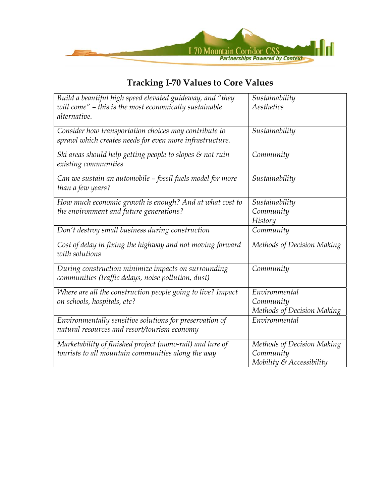

| Build a beautiful high speed elevated guideway, and "they<br>will come" - this is the most economically sustainable<br>alternative. | Sustainability<br>Aesthetics                                        |
|-------------------------------------------------------------------------------------------------------------------------------------|---------------------------------------------------------------------|
| Consider how transportation choices may contribute to<br>sprawl which creates needs for even more infrastructure.                   | Sustainability                                                      |
| Ski areas should help getting people to slopes $\varepsilon$ not ruin<br>existing communities                                       | Community                                                           |
| Can we sustain an automobile – fossil fuels model for more<br>than a few years?                                                     | Sustainability                                                      |
| How much economic growth is enough? And at what cost to<br>the environment and future generations?                                  | Sustainability<br>Community<br>History                              |
| Don't destroy small business during construction                                                                                    | Community                                                           |
| Cost of delay in fixing the highway and not moving forward<br>with solutions                                                        | Methods of Decision Making                                          |
| During construction minimize impacts on surrounding<br>communities (traffic delays, noise pollution, dust)                          | Community                                                           |
| Where are all the construction people going to live? Impact<br>on schools, hospitals, etc?                                          | Environmental<br>Community<br>Methods of Decision Making            |
| Environmentally sensitive solutions for preservation of<br>natural resources and resort/tourism economy                             | Environmental                                                       |
| Marketability of finished project (mono-rail) and lure of<br>tourists to all mountain communities along the way                     | Methods of Decision Making<br>Community<br>Mobility & Accessibility |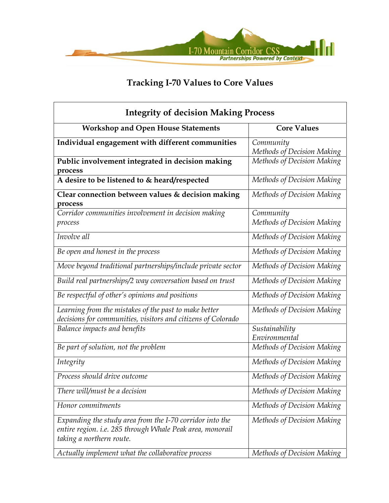

| <b>Integrity of decision Making Process</b>                                                                                                       |                                         |
|---------------------------------------------------------------------------------------------------------------------------------------------------|-----------------------------------------|
| <b>Workshop and Open House Statements</b>                                                                                                         | <b>Core Values</b>                      |
| Individual engagement with different communities                                                                                                  | Community<br>Methods of Decision Making |
| Public involvement integrated in decision making<br>process                                                                                       | Methods of Decision Making              |
| A desire to be listened to & heard/respected                                                                                                      | Methods of Decision Making              |
| Clear connection between values & decision making<br>process                                                                                      | Methods of Decision Making              |
| Corridor communities involvement in decision making<br>process                                                                                    | Community<br>Methods of Decision Making |
| Involve all                                                                                                                                       | Methods of Decision Making              |
| Be open and honest in the process                                                                                                                 | Methods of Decision Making              |
| Move beyond traditional partnerships/include private sector                                                                                       | Methods of Decision Making              |
| Build real partnerships/2 way conversation based on trust                                                                                         | Methods of Decision Making              |
| Be respectful of other's opinions and positions                                                                                                   | Methods of Decision Making              |
| Learning from the mistakes of the past to make better<br>decisions for communities, visitors and citizens of Colorado                             | Methods of Decision Making              |
| Balance impacts and benefits                                                                                                                      | Sustainability<br>Environmental         |
| Be part of solution, not the problem                                                                                                              | Methods of Decision Making              |
| Integrity                                                                                                                                         | Methods of Decision Making              |
| Process should drive outcome                                                                                                                      | Methods of Decision Making              |
| There will/must be a decision                                                                                                                     | Methods of Decision Making              |
| Honor commitments                                                                                                                                 | Methods of Decision Making              |
| Expanding the study area from the I-70 corridor into the<br>entire region. i.e. 285 through Whale Peak area, monorail<br>taking a northern route. | Methods of Decision Making              |
| Actually implement what the collaborative process                                                                                                 | Methods of Decision Making              |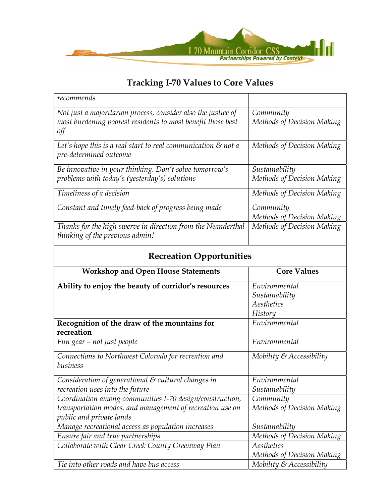

| recommends                                                                                                                          |                                              |
|-------------------------------------------------------------------------------------------------------------------------------------|----------------------------------------------|
| Not just a majoritarian process, consider also the justice of<br>most burdening poorest residents to most benefit those best<br>off | Community<br>Methods of Decision Making      |
| Let's hope this is a real start to real communication $\mathcal S$ not a<br>pre-determined outcome                                  | Methods of Decision Making                   |
| Be innovative in your thinking. Don't solve tomorrow's<br>problems with today's (yesterday's) solutions                             | Sustainability<br>Methods of Decision Making |
| Timeliness of a decision                                                                                                            | Methods of Decision Making                   |
| Constant and timely feed-back of progress being made                                                                                | Community<br>Methods of Decision Making      |
| Thanks for the high swerve in direction from the Neanderthal<br>thinking of the previous admin!                                     | Methods of Decision Making                   |

# **Recreation Opportunities**

| <b>Workshop and Open House Statements</b>                 | <b>Core Values</b>          |
|-----------------------------------------------------------|-----------------------------|
| Ability to enjoy the beauty of corridor's resources       | Environmental               |
|                                                           | Sustainability              |
|                                                           | Aesthetics                  |
|                                                           | History                     |
| Recognition of the draw of the mountains for              | Environmental               |
| recreation                                                |                             |
| Fun gear – not just people                                | Environmental               |
| Connections to Northwest Colorado for recreation and      | Mobility & Accessibility    |
| business                                                  |                             |
| Consideration of generational & cultural changes in       | Environmental               |
| recreation uses into the future                           | Sustainability              |
| Coordination among communities I-70 design/construction,  | Community                   |
| transportation modes, and management of recreation use on | Methods of Decision Making  |
| public and private lands                                  |                             |
| Manage recreational access as population increases        | Sustainability              |
| Ensure fair and true partnerships                         | Methods of Decision Making  |
| Collaborate with Clear Creek County Greenway Plan         | Aesthetics                  |
|                                                           | Methods of Decision Making  |
| Tie into other roads and have bus access                  | Mobility $\&$ Accessibility |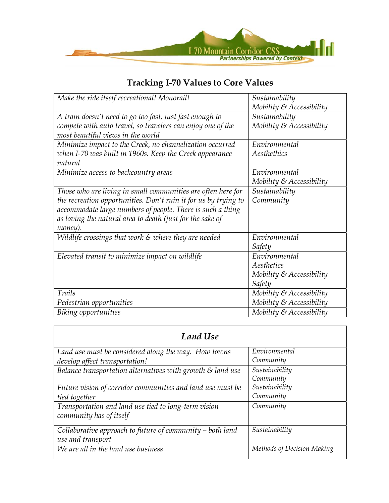

| Make the ride itself recreational! Monorail!                     | Sustainability              |
|------------------------------------------------------------------|-----------------------------|
|                                                                  | Mobility & Accessibility    |
| A train doesn't need to go too fast, just fast enough to         | Sustainability              |
| compete with auto travel, so travelers can enjoy one of the      | Mobility & Accessibility    |
| most beautiful views in the world                                |                             |
| Minimize impact to the Creek, no channelization occurred         | Environmental               |
| when I-70 was built in 1960s. Keep the Creek appearance          | Aesthethics                 |
| natural                                                          |                             |
| Minimize access to backcountry areas                             | Environmental               |
|                                                                  | Mobility $\&$ Accessibility |
| Those who are living in small communities are often here for     | Sustainability              |
| the recreation opportunities. Don't ruin it for us by trying to  | Community                   |
| accommodate large numbers of people. There is such a thing       |                             |
| as loving the natural area to death (just for the sake of        |                             |
| money).                                                          |                             |
| Wildlife crossings that work $\varepsilon$ where they are needed | Environmental               |
|                                                                  | Safety                      |
| Elevated transit to minimize impact on wildlife                  | Environmental               |
|                                                                  | Aesthetics                  |
|                                                                  | Mobility & Accessibility    |
|                                                                  | Safety                      |
| Trails                                                           | Mobility $\&$ Accessibility |
| Pedestrian opportunities                                         | Mobility $\&$ Accessibility |
| Biking opportunities                                             | Mobility $\&$ Accessibility |

| <b>Land Use</b>                                                                        |                             |
|----------------------------------------------------------------------------------------|-----------------------------|
| Land use must be considered along the way. How towns<br>develop affect transportation! | Environmental<br>Community  |
| Balance transportation alternatives with growth $\varepsilon$ land use                 | Sustainability<br>Community |
| Future vision of corridor communities and land use must be<br>tied together            | Sustainability<br>Community |
| Transportation and land use tied to long-term vision<br>community has of itself        | Community                   |
| Collaborative approach to future of community – both land<br>use and transport         | Sustainability              |
| We are all in the land use business                                                    | Methods of Decision Making  |